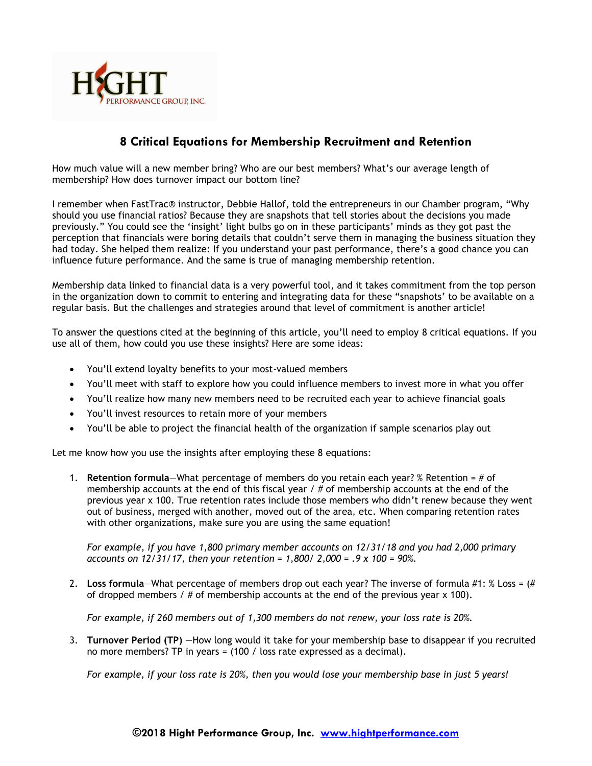

## **8 Critical Equations for Membership Recruitment and Retention**

How much value will a new member bring? Who are our best members? What's our average length of membership? How does turnover impact our bottom line?

I remember when FastTrac® instructor, Debbie Hallof, told the entrepreneurs in our Chamber program, "Why should you use financial ratios? Because they are snapshots that tell stories about the decisions you made previously." You could see the 'insight' light bulbs go on in these participants' minds as they got past the perception that financials were boring details that couldn't serve them in managing the business situation they had today. She helped them realize: If you understand your past performance, there's a good chance you can influence future performance. And the same is true of managing membership retention.

Membership data linked to financial data is a very powerful tool, and it takes commitment from the top person in the organization down to commit to entering and integrating data for these "snapshots' to be available on a regular basis. But the challenges and strategies around that level of commitment is another article!

To answer the questions cited at the beginning of this article, you'll need to employ 8 critical equations. If you use all of them, how could you use these insights? Here are some ideas:

- You'll extend loyalty benefits to your most-valued members
- You'll meet with staff to explore how you could influence members to invest more in what you offer
- You'll realize how many new members need to be recruited each year to achieve financial goals
- You'll invest resources to retain more of your members
- You'll be able to project the financial health of the organization if sample scenarios play out

Let me know how you use the insights after employing these 8 equations:

1. **Retention formula**—What percentage of members do you retain each year? % Retention = # of membership accounts at the end of this fiscal year  $/$  # of membership accounts at the end of the previous year x 100. True retention rates include those members who didn't renew because they went out of business, merged with another, moved out of the area, etc. When comparing retention rates with other organizations, make sure you are using the same equation!

*For example, if you have 1,800 primary member accounts on 12/31/18 and you had 2,000 primary accounts on 12/31/17, then your retention = 1,800/ 2,000 = .9 x 100 = 90%.*

2. **Loss formula**—What percentage of members drop out each year? The inverse of formula #1: % Loss = (# of dropped members /  $\#$  of membership accounts at the end of the previous year  $\times$  100).

*For example, if 260 members out of 1,300 members do not renew, your loss rate is 20%.*

3. **Turnover Period (TP)** —How long would it take for your membership base to disappear if you recruited no more members? TP in years = (100 / loss rate expressed as a decimal).

*For example, if your loss rate is 20%, then you would lose your membership base in just 5 years!*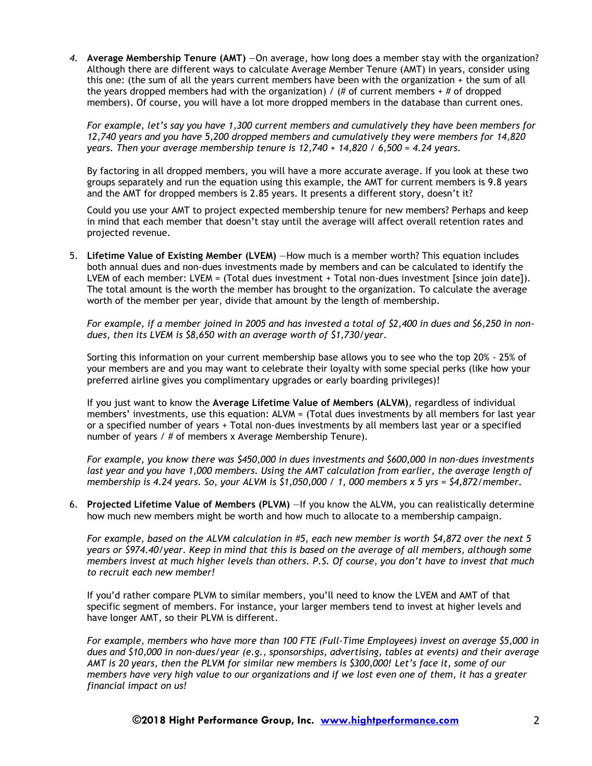*4.* **Average Membership Tenure (AMT)** —On average, how long does a member stay with the organization? Although there are different ways to calculate Average Member Tenure (AMT) in years, consider using this one: (the sum of all the years current members have been with the organization + the sum of all the years dropped members had with the organization) /  $#$  of current members  $+#$  of dropped members). Of course, you will have a lot more dropped members in the database than current ones.

*For example, let's say you have 1,300 current members and cumulatively they have been members for 12,740 years and you have 5,200 dropped members and cumulatively they were members for 14,820 years. Then your average membership tenure is 12,740 + 14,820 / 6,500 = 4.24 years.*

By factoring in all dropped members, you will have a more accurate average. If you look at these two groups separately and run the equation using this example, the AMT for current members is 9.8 years and the AMT for dropped members is 2.85 years. It presents a different story, doesn't it?

Could you use your AMT to project expected membership tenure for new members? Perhaps and keep in mind that each member that doesn't stay until the average will affect overall retention rates and projected revenue.

5. **Lifetime Value of Existing Member (LVEM)** —How much is a member worth? This equation includes both annual dues and non-dues investments made by members and can be calculated to identify the LVEM of each member: LVEM = (Total dues investment + Total non-dues investment [since join date]). The total amount is the worth the member has brought to the organization. To calculate the average worth of the member per year, divide that amount by the length of membership.

*For example, if a member joined in 2005 and has invested a total of \$2,400 in dues and \$6,250 in nondues, then its LVEM is \$8,650 with an average worth of \$1,730/year.*

Sorting this information on your current membership base allows you to see who the top 20% - 25% of your members are and you may want to celebrate their loyalty with some special perks (like how your preferred airline gives you complimentary upgrades or early boarding privileges)!

If you just want to know the **Average Lifetime Value of Members (ALVM)**, regardless of individual members' investments, use this equation: ALVM = (Total dues investments by all members for last year or a specified number of years + Total non-dues investments by all members last year or a specified number of years / # of members x Average Membership Tenure).

*For example, you know there was \$450,000 in dues investments and \$600,000 in non-dues investments last year and you have 1,000 members. Using the AMT calculation from earlier, the average length of membership is 4.24 years. So, your ALVM is \$1,050,000 / 1, 000 members x 5 yrs = \$4,872/member.*

6. **Projected Lifetime Value of Members (PLVM)** —If you know the ALVM, you can realistically determine how much new members might be worth and how much to allocate to a membership campaign.

*For example, based on the ALVM calculation in #5, each new member is worth \$4,872 over the next 5 years or \$974.40/year. Keep in mind that this is based on the average of all members, although some members invest at much higher levels than others. P.S. Of course, you don't have to invest that much to recruit each new member!*

If you'd rather compare PLVM to similar members, you'll need to know the LVEM and AMT of that specific segment of members. For instance, your larger members tend to invest at higher levels and have longer AMT, so their PLVM is different.

*For example, members who have more than 100 FTE (Full-Time Employees) invest on average \$5,000 in dues and \$10,000 in non-dues/year (e.g., sponsorships, advertising, tables at events) and their average AMT is 20 years, then the PLVM for similar new members is \$300,000! Let's face it, some of our members have very high value to our organizations and if we lost even one of them, it has a greater financial impact on us!*